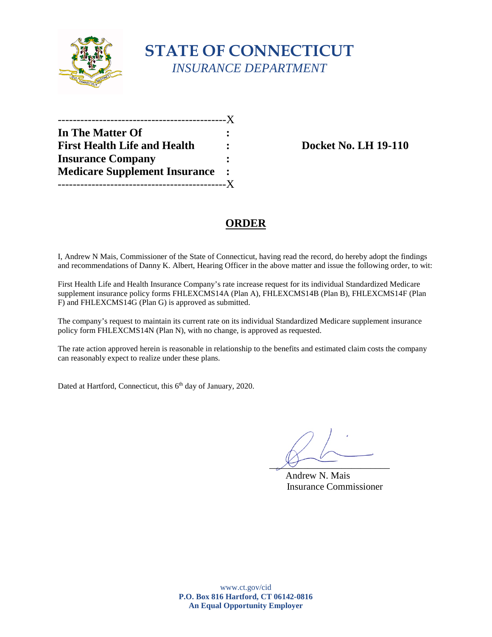

## **STATE OF CONNECTICUT**  *INSURANCE DEPARTMENT*

| In The Matter Of                     |  |
|--------------------------------------|--|
| <b>First Health Life and Health</b>  |  |
| <b>Insurance Company</b>             |  |
| <b>Medicare Supplement Insurance</b> |  |
|                                      |  |

**Fig. LH 19-110** 

### **ORDER**

I, Andrew N Mais, Commissioner of the State of Connecticut, having read the record, do hereby adopt the findings and recommendations of Danny K. Albert, Hearing Officer in the above matter and issue the following order, to wit:

First Health Life and Health Insurance Company's rate increase request for its individual Standardized Medicare supplement insurance policy forms FHLEXCMS14A (Plan A), FHLEXCMS14B (Plan B), FHLEXCMS14F (Plan F) and FHLEXCMS14G (Plan G) is approved as submitted.

The company's request to maintain its current rate on its individual Standardized Medicare supplement insurance policy form FHLEXCMS14N (Plan N), with no change, is approved as requested.

The rate action approved herein is reasonable in relationship to the benefits and estimated claim costs the company can reasonably expect to realize under these plans.

Dated at Hartford, Connecticut, this 6<sup>th</sup> day of January, 2020.

 $\chi_f$   $\sim$ 

Andrew N. Mais Insurance Commissioner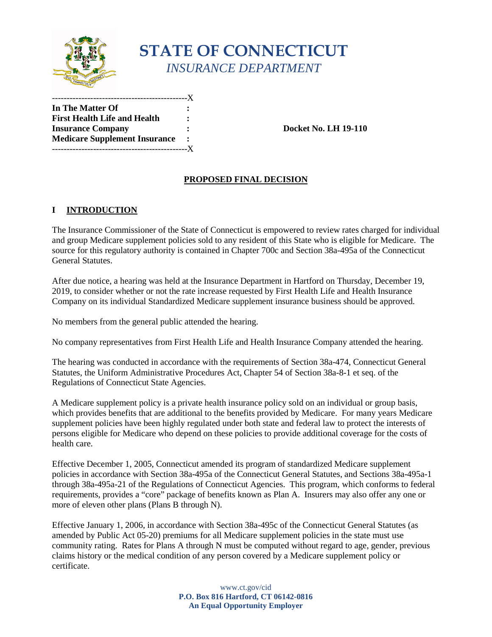

# **STATE OF CONNECTICUT**  *INSURANCE DEPARTMENT*

 **In The Matter Of : First Health Life and Health : Insurance Company Insurance Company Medicare Supplement Insurance :**  -----------------X ----------------------------------------------X

**Docket No. LH 19-110** 

### **PROPOSED FINAL DECISION**

**:** 

#### **I INTRODUCTION**

 and group Medicare supplement policies sold to any resident of this State who is eligible for Medicare. The General Statutes. The Insurance Commissioner of the State of Connecticut is empowered to review rates charged for individual source for this regulatory authority is contained in Chapter 700c and Section 38a-495a of the Connecticut

 2019, to consider whether or not the rate increase requested by First Health Life and Health Insurance Company on its individual Standardized Medicare supplement insurance business should be approved. After due notice, a hearing was held at the Insurance Department in Hartford on Thursday, December 19,

No members from the general public attended the hearing.

No company representatives from First Health Life and Health Insurance Company attended the hearing.

 Statutes, the Uniform Administrative Procedures Act, Chapter 54 of Section 38a-8-1 et seq. of the The hearing was conducted in accordance with the requirements of Section 38a-474, Connecticut General Regulations of Connecticut State Agencies.

 which provides benefits that are additional to the benefits provided by Medicare. For many years Medicare supplement policies have been highly regulated under both state and federal law to protect the interests of persons eligible for Medicare who depend on these policies to provide additional coverage for the costs of A Medicare supplement policy is a private health insurance policy sold on an individual or group basis, health care.

 Effective December 1, 2005, Connecticut amended its program of standardized Medicare supplement requirements, provides a "core" package of benefits known as Plan A. Insurers may also offer any one or policies in accordance with Section 38a-495a of the Connecticut General Statutes, and Sections 38a-495a-1 through 38a-495a-21 of the Regulations of Connecticut Agencies. This program, which conforms to federal more of eleven other plans (Plans B through N).

 Effective January 1, 2006, in accordance with Section 38a-495c of the Connecticut General Statutes (as community rating. Rates for Plans A through N must be computed without regard to age, gender, previous amended by Public Act 05-20) premiums for all Medicare supplement policies in the state must use claims history or the medical condition of any person covered by a Medicare supplement policy or certificate.

> www.ct.gov/cid **P.O. Box 816 Hartford, CT 06142-0816 An Equal Opportunity Employer**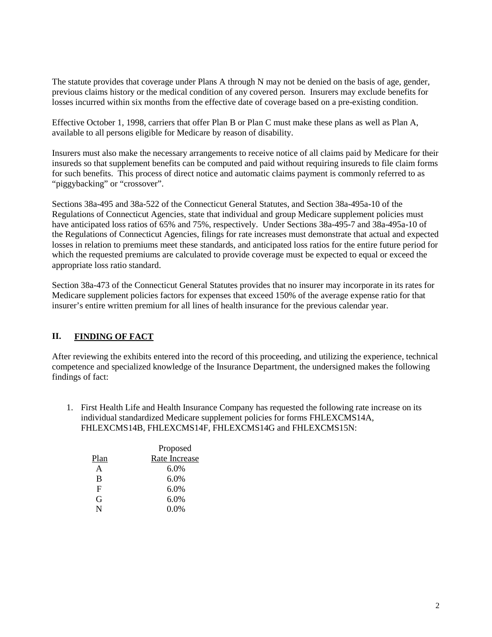previous claims history or the medical condition of any covered person. Insurers may exclude benefits for The statute provides that coverage under Plans A through N may not be denied on the basis of age, gender, losses incurred within six months from the effective date of coverage based on a pre-existing condition.

Effective October 1, 1998, carriers that offer Plan B or Plan C must make these plans as well as Plan A, available to all persons eligible for Medicare by reason of disability.

 for such benefits. This process of direct notice and automatic claims payment is commonly referred to as Insurers must also make the necessary arrangements to receive notice of all claims paid by Medicare for their insureds so that supplement benefits can be computed and paid without requiring insureds to file claim forms "piggybacking" or "crossover".

 have anticipated loss ratios of 65% and 75%, respectively. Under Sections 38a-495-7 and 38a-495a-10 of losses in relation to premiums meet these standards, and anticipated loss ratios for the entire future period for Sections 38a-495 and 38a-522 of the Connecticut General Statutes, and Section 38a-495a-10 of the Regulations of Connecticut Agencies, state that individual and group Medicare supplement policies must the Regulations of Connecticut Agencies, filings for rate increases must demonstrate that actual and expected which the requested premiums are calculated to provide coverage must be expected to equal or exceed the appropriate loss ratio standard.

 Medicare supplement policies factors for expenses that exceed 150% of the average expense ratio for that insurer's entire written premium for all lines of health insurance for the previous calendar year. Section 38a-473 of the Connecticut General Statutes provides that no insurer may incorporate in its rates for

#### II. **II. FINDING OF FACT**

 After reviewing the exhibits entered into the record of this proceeding, and utilizing the experience, technical competence and specialized knowledge of the Insurance Department, the undersigned makes the following findings of fact:

1. First Health Life and Health Insurance Company has requested the following rate increase on its individual standardized Medicare supplement policies for forms FHLEXCMS14A, FHLEXCMS14B, FHLEXCMS14F, FHLEXCMS14G and FHLEXCMS15N:

|      | Proposed      |
|------|---------------|
| Plan | Rate Increase |
| A    | $6.0\%$       |
| B    | $6.0\%$       |
| F    | 6.0%          |
| G    | 6.0%          |
| N    | $0.0\%$       |